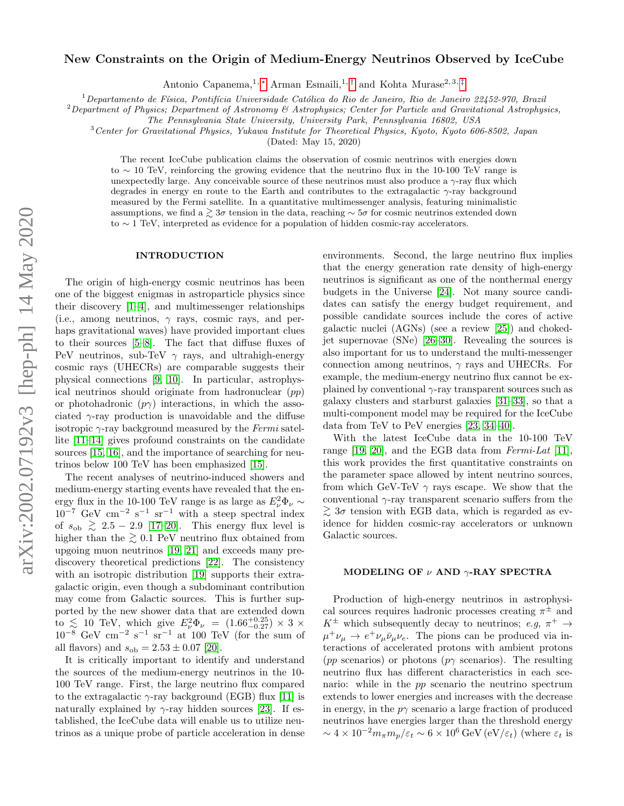## New Constraints on the Origin of Medium-Energy Neutrinos Observed by IceCube

Antonio Capanema,<sup>1, [∗](#page-4-0)</sup> Arman Esmaili,<sup>1,[†](#page-4-1)</sup> and Kohta Murase<sup>2,3,[‡](#page-4-2)</sup>

 $1$ Departamento de Física, Pontifícia Universidade Católica do Rio de Janeiro, Rio de Janeiro 22452-970, Brazil

 $2$ Department of Physics; Department of Astronomy & Astrophysics; Center for Particle and Gravitational Astrophysics,

The Pennsylvania State University, University Park, Pennsylvania 16802, USA

<sup>3</sup>Center for Gravitational Physics, Yukawa Institute for Theoretical Physics, Kyoto, Kyoto 606-8502, Japan

(Dated: May 15, 2020)

The recent IceCube publication claims the observation of cosmic neutrinos with energies down to ∼ 10 TeV, reinforcing the growing evidence that the neutrino flux in the 10-100 TeV range is unexpectedly large. Any conceivable source of these neutrinos must also produce a  $\gamma$ -ray flux which degrades in energy en route to the Earth and contributes to the extragalactic  $\gamma$ -ray background measured by the Fermi satellite. In a quantitative multimessenger analysis, featuring minimalistic assumptions, we find a  $\gtrsim$  3σ tension in the data, reaching  $\sim$  5σ for cosmic neutrinos extended down to ∼ 1 TeV, interpreted as evidence for a population of hidden cosmic-ray accelerators.

### INTRODUCTION

The origin of high-energy cosmic neutrinos has been one of the biggest enigmas in astroparticle physics since their discovery [\[1](#page-4-3)[–4\]](#page-4-4), and multimessenger relationships (i.e., among neutrinos,  $\gamma$  rays, cosmic rays, and perhaps gravitational waves) have provided important clues to their sources [\[5–](#page-4-5)[8\]](#page-4-6). The fact that diffuse fluxes of PeV neutrinos, sub-TeV  $\gamma$  rays, and ultrahigh-energy cosmic rays (UHECRs) are comparable suggests their physical connections [\[9,](#page-4-7) [10\]](#page-4-8). In particular, astrophysical neutrinos should originate from hadronuclear  $(pp)$ or photohadronic  $(p\gamma)$  interactions, in which the associated  $\gamma$ -ray production is unavoidable and the diffuse isotropic  $\gamma$ -ray background measured by the Fermi satellite [\[11](#page-4-9)[–14\]](#page-4-10) gives profound constraints on the candidate sources [\[15,](#page-4-11) [16\]](#page-4-12), and the importance of searching for neutrinos below 100 TeV has been emphasized [\[15\]](#page-4-11).

The recent analyses of neutrino-induced showers and medium-energy starting events have revealed that the energy flux in the 10-100 TeV range is as large as  $E_{\nu}^2 \Phi_{\nu} \sim$  $10^{-7}$  GeV cm<sup>-2</sup> s<sup>-1</sup> sr<sup>-1</sup> with a steep spectral index of  $s_{\text{ob}} \geq 2.5 - 2.9$  [\[17–](#page-4-13)[20\]](#page-4-14). This energy flux level is higher than the  $\geq 0.1$  PeV neutrino flux obtained from upgoing muon neutrinos [\[19,](#page-4-15) [21\]](#page-4-16) and exceeds many prediscovery theoretical predictions [\[22\]](#page-4-17). The consistency with an isotropic distribution [\[19\]](#page-4-15) supports their extragalactic origin, even though a subdominant contribution may come from Galactic sources. This is further supported by the new shower data that are extended down to  $\lesssim 10$  TeV, which give  $E_{\nu}^2 \Phi_{\nu} = (1.66^{+0.25}_{-0.27}) \times 3 \times$  $10^{-8}$  GeV cm<sup>-2</sup> s<sup>-1</sup> sr<sup>-1</sup> at 100 TeV (for the sum of all flavors) and  $s_{\text{ob}} = 2.53 \pm 0.07$  [\[20\]](#page-4-14).

It is critically important to identify and understand the sources of the medium-energy neutrinos in the 10- 100 TeV range. First, the large neutrino flux compared to the extragalactic  $\gamma$ -ray background (EGB) flux [\[11\]](#page-4-9) is naturally explained by  $\gamma$ -ray hidden sources [\[23\]](#page-4-18). If established, the IceCube data will enable us to utilize neutrinos as a unique probe of particle acceleration in dense environments. Second, the large neutrino flux implies that the energy generation rate density of high-energy neutrinos is significant as one of the nonthermal energy budgets in the Universe [\[24\]](#page-4-19). Not many source candidates can satisfy the energy budget requirement, and possible candidate sources include the cores of active galactic nuclei (AGNs) (see a review [\[25\]](#page-4-20)) and chokedjet supernovae (SNe) [\[26](#page-4-21)[–30\]](#page-4-22). Revealing the sources is also important for us to understand the multi-messenger connection among neutrinos,  $\gamma$  rays and UHECRs. For example, the medium-energy neutrino flux cannot be explained by conventional  $\gamma$ -ray transparent sources such as galaxy clusters and starburst galaxies [\[31–](#page-4-23)[33\]](#page-4-24), so that a multi-component model may be required for the IceCube data from TeV to PeV energies [\[23,](#page-4-18) [34](#page-4-25)[–40\]](#page-5-0).

With the latest IceCube data in the 10-100 TeV range [\[19,](#page-4-15) [20\]](#page-4-14), and the EGB data from Fermi-Lat [\[11\]](#page-4-9), this work provides the first quantitative constraints on the parameter space allowed by intent neutrino sources, from which GeV-TeV  $\gamma$  rays escape. We show that the conventional  $\gamma$ -ray transparent scenario suffers from the  $\gtrsim$  3σ tension with EGB data, which is regarded as evidence for hidden cosmic-ray accelerators or unknown Galactic sources.

### MODELING OF  $\nu$  AND  $\gamma$ -RAY SPECTRA

Production of high-energy neutrinos in astrophysical sources requires hadronic processes creating  $\pi^{\pm}$  and  $K^{\pm}$  which subsequently decay to neutrinos; e.g,  $\pi^{+} \rightarrow$  $\mu^+ \nu_\mu \rightarrow e^+ \nu_\mu \bar{\nu}_\mu \nu_e$ . The pions can be produced via interactions of accelerated protons with ambient protons (pp scenarios) or photons (p $\gamma$  scenarios). The resulting neutrino flux has different characteristics in each scenario: while in the pp scenario the neutrino spectrum extends to lower energies and increases with the decrease in energy, in the  $p\gamma$  scenario a large fraction of produced neutrinos have energies larger than the threshold energy  $\sim 4 \times 10^{-2} m_{\pi} m_{p} / \varepsilon_t \sim 6 \times 10^6 \,\text{GeV} \,(\text{eV}/\varepsilon_t)$  (where  $\varepsilon_t$  is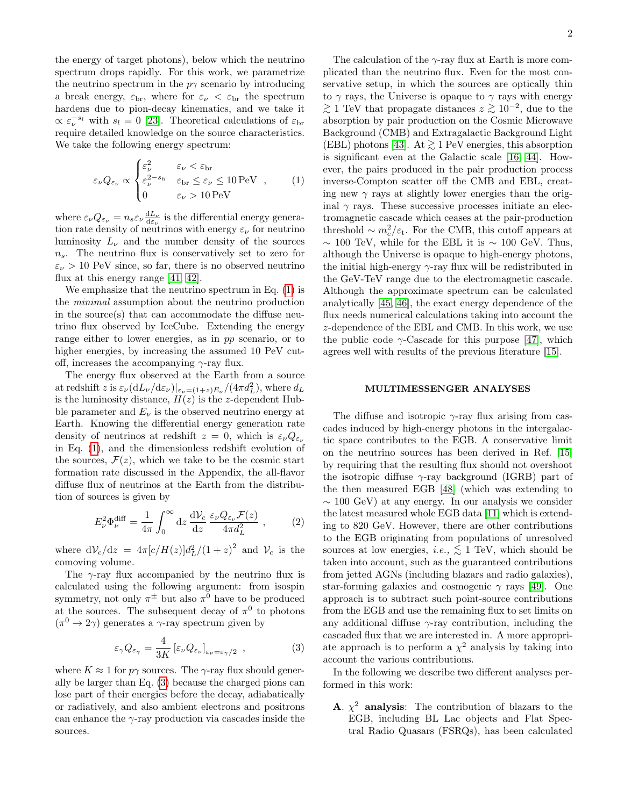the energy of target photons), below which the neutrino spectrum drops rapidly. For this work, we parametrize the neutrino spectrum in the  $p\gamma$  scenario by introducing a break energy,  $\varepsilon_{\rm br}$ , where for  $\varepsilon_{\nu} < \varepsilon_{\rm br}$  the spectrum hardens due to pion-decay kinematics, and we take it  $\propto \varepsilon_{\nu}^{-s_l}$  with  $s_l = 0$  [\[23\]](#page-4-18). Theoretical calculations of  $\varepsilon_{\rm br}$ require detailed knowledge on the source characteristics. We take the following energy spectrum:

<span id="page-1-0"></span>
$$
\varepsilon_{\nu} Q_{\varepsilon_{\nu}} \propto \begin{cases} \varepsilon_{\nu}^{2} & \varepsilon_{\nu} < \varepsilon_{\rm br} \\ \varepsilon_{\nu}^{2-s_{h}} & \varepsilon_{\rm br} \le \varepsilon_{\nu} \le 10 \,\text{PeV} \\ 0 & \varepsilon_{\nu} > 10 \,\text{PeV} \end{cases} , \tag{1}
$$

where  $\varepsilon_{\nu} Q_{\varepsilon_{\nu}} = n_s \varepsilon_{\nu} \frac{dL_{\nu}}{d\varepsilon_{\nu}}$  is the differential energy generation rate density of neutrinos with energy  $\varepsilon_{\nu}$  for neutrino luminosity  $L_{\nu}$  and the number density of the sources  $n<sub>s</sub>$ . The neutrino flux is conservatively set to zero for  $\varepsilon_{\nu} > 10$  PeV since, so far, there is no observed neutrino flux at this energy range [\[41,](#page-5-1) [42\]](#page-5-2).

We emphasize that the neutrino spectrum in Eq. [\(1\)](#page-1-0) is the minimal assumption about the neutrino production in the source(s) that can accommodate the diffuse neutrino flux observed by IceCube. Extending the energy range either to lower energies, as in pp scenario, or to higher energies, by increasing the assumed 10 PeV cutoff, increases the accompanying  $\gamma$ -ray flux.

The energy flux observed at the Earth from a source at redshift z is  $\varepsilon_{\nu} (dL_{\nu}/d\varepsilon_{\nu})|_{\varepsilon_{\nu} = (1+z)E_{\nu}}/(4\pi d_L^2)$ , where  $d_L$ is the luminosity distance,  $H(z)$  is the z-dependent Hubble parameter and  $E_{\nu}$  is the observed neutrino energy at Earth. Knowing the differential energy generation rate density of neutrinos at redshift  $z = 0$ , which is  $\varepsilon_{\nu} Q_{\varepsilon_{\nu}}$ in Eq. [\(1\)](#page-1-0), and the dimensionless redshift evolution of the sources,  $\mathcal{F}(z)$ , which we take to be the cosmic start formation rate discussed in the Appendix, the all-flavor diffuse flux of neutrinos at the Earth from the distribution of sources is given by

<span id="page-1-2"></span>
$$
E_{\nu}^{2} \Phi_{\nu}^{\text{diff}} = \frac{1}{4\pi} \int_{0}^{\infty} dz \, \frac{dV_{c}}{dz} \, \frac{\varepsilon_{\nu} Q_{\varepsilon_{\nu}} \mathcal{F}(z)}{4\pi d_{L}^{2}} \,, \tag{2}
$$

where  $dV_c/dz = 4\pi [c/H(z)]d_L^2/(1+z)^2$  and  $V_c$  is the comoving volume.

The  $\gamma$ -ray flux accompanied by the neutrino flux is calculated using the following argument: from isospin symmetry, not only  $\pi^{\pm}$  but also  $\pi^{0}$  have to be produced at the sources. The subsequent decay of  $\pi^0$  to photons  $(\pi^0 \to 2\gamma)$  generates a  $\gamma$ -ray spectrum given by

<span id="page-1-1"></span>
$$
\varepsilon_{\gamma} Q_{\varepsilon_{\gamma}} = \frac{4}{3K} \left[ \varepsilon_{\nu} Q_{\varepsilon_{\nu}} \right]_{\varepsilon_{\nu} = \varepsilon_{\gamma}/2} , \qquad (3)
$$

where  $K \approx 1$  for  $p\gamma$  sources. The  $\gamma$ -ray flux should generally be larger than Eq. [\(3\)](#page-1-1) because the charged pions can lose part of their energies before the decay, adiabatically or radiatively, and also ambient electrons and positrons can enhance the  $\gamma$ -ray production via cascades inside the sources.

The calculation of the  $\gamma$ -ray flux at Earth is more complicated than the neutrino flux. Even for the most conservative setup, in which the sources are optically thin to  $\gamma$  rays, the Universe is opaque to  $\gamma$  rays with energy  $\gtrsim$  1 TeV that propagate distances  $z \gtrsim 10^{-2}$ , due to the absorption by pair production on the Cosmic Microwave Background (CMB) and Extragalactic Background Light (EBL) photons [\[43\]](#page-5-3). At  $\gtrsim$  1 PeV energies, this absorption is significant even at the Galactic scale [\[16,](#page-4-12) [44\]](#page-5-4). However, the pairs produced in the pair production process inverse-Compton scatter off the CMB and EBL, creating new  $\gamma$  rays at slightly lower energies than the original  $\gamma$  rays. These successive processes initiate an electromagnetic cascade which ceases at the pair-production threshold  $\sim m_e^2/\varepsilon_{\rm t}$ . For the CMB, this cutoff appears at  $\sim 100$  TeV, while for the EBL it is  $\sim 100$  GeV. Thus, although the Universe is opaque to high-energy photons, the initial high-energy  $\gamma$ -ray flux will be redistributed in the GeV-TeV range due to the electromagnetic cascade. Although the approximate spectrum can be calculated analytically [\[45,](#page-5-5) [46\]](#page-5-6), the exact energy dependence of the flux needs numerical calculations taking into account the z-dependence of the EBL and CMB. In this work, we use the public code  $\gamma$ -Cascade for this purpose [\[47\]](#page-5-7), which agrees well with results of the previous literature [\[15\]](#page-4-11).

#### MULTIMESSENGER ANALYSES

The diffuse and isotropic  $\gamma$ -ray flux arising from cascades induced by high-energy photons in the intergalactic space contributes to the EGB. A conservative limit on the neutrino sources has been derived in Ref. [\[15\]](#page-4-11) by requiring that the resulting flux should not overshoot the isotropic diffuse  $\gamma$ -ray background (IGRB) part of the then measured EGB [\[48\]](#page-5-8) (which was extending to ∼ 100 GeV) at any energy. In our analysis we consider the latest measured whole EGB data [\[11\]](#page-4-9) which is extending to 820 GeV. However, there are other contributions to the EGB originating from populations of unresolved sources at low energies, *i.e.*,  $\lesssim 1$  TeV, which should be taken into account, such as the guaranteed contributions from jetted AGNs (including blazars and radio galaxies), star-forming galaxies and cosmogenic  $\gamma$  rays [\[49\]](#page-5-9). One approach is to subtract such point-source contributions from the EGB and use the remaining flux to set limits on any additional diffuse  $\gamma$ -ray contribution, including the cascaded flux that we are interested in. A more appropriate approach is to perform a  $\chi^2$  analysis by taking into account the various contributions.

In the following we describe two different analyses performed in this work:

**A.**  $\chi^2$  analysis: The contribution of blazars to the EGB, including BL Lac objects and Flat Spectral Radio Quasars (FSRQs), has been calculated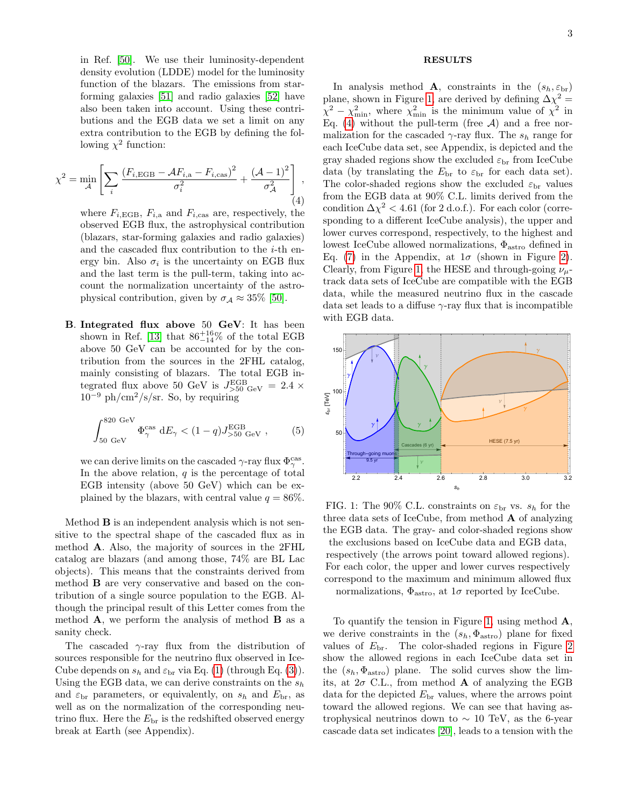in Ref. [\[50\]](#page-5-10). We use their luminosity-dependent density evolution (LDDE) model for the luminosity function of the blazars. The emissions from starforming galaxies [\[51\]](#page-5-11) and radio galaxies [\[52\]](#page-5-12) have also been taken into account. Using these contributions and the EGB data we set a limit on any extra contribution to the EGB by defining the following  $\chi^2$  function:

<span id="page-2-1"></span>
$$
\chi^2 = \min_{\mathcal{A}} \left[ \sum_i \frac{\left( F_{i,\text{EGB}} - \mathcal{A} F_{i,\text{a}} - F_{i,\text{cas}} \right)^2}{\sigma_i^2} + \frac{\left( \mathcal{A} - 1 \right)^2}{\sigma_{\mathcal{A}}^2} \right], \tag{4}
$$

where  $F_{i,\text{EGB}}$ ,  $F_{i,\text{a}}$  and  $F_{i,\text{cas}}$  are, respectively, the observed EGB flux, the astrophysical contribution (blazars, star-forming galaxies and radio galaxies) and the cascaded flux contribution to the i-th energy bin. Also  $\sigma_i$  is the uncertainty on EGB flux and the last term is the pull-term, taking into account the normalization uncertainty of the astrophysical contribution, given by  $\sigma_A \approx 35\%$  [\[50\]](#page-5-10).

B. Integrated flux above 50 GeV: It has been shown in Ref. [\[13\]](#page-4-26) that  $86^{+16}_{-14}\%$  of the total EGB above 50 GeV can be accounted for by the contribution from the sources in the 2FHL catalog, mainly consisting of blazars. The total EGB integrated flux above 50 GeV is  $J_{>50\text{ GeV}}^{\text{EGB}} = 2.4 \times$  $10^{-9}$  ph/cm<sup>2</sup>/s/sr. So, by requiring

<span id="page-2-2"></span>
$$
\int_{50 \text{ GeV}}^{820 \text{ GeV}} \Phi^{\text{cas}}_{\gamma} dE_{\gamma} < (1 - q) J^{\text{EGB}}_{>50 \text{ GeV}} , \qquad (5)
$$

we can derive limits on the cascaded  $\gamma$ -ray flux  $\Phi_{\gamma}^{\text{cas}}$ . In the above relation,  $q$  is the percentage of total EGB intensity (above 50 GeV) which can be explained by the blazars, with central value  $q = 86\%$ .

Method B is an independent analysis which is not sensitive to the spectral shape of the cascaded flux as in method A. Also, the majority of sources in the 2FHL catalog are blazars (and among those, 74% are BL Lac objects). This means that the constraints derived from method B are very conservative and based on the contribution of a single source population to the EGB. Although the principal result of this Letter comes from the method  $\bf{A}$ , we perform the analysis of method  $\bf{B}$  as a sanity check.

The cascaded  $\gamma$ -ray flux from the distribution of sources responsible for the neutrino flux observed in Ice-Cube depends on  $s_h$  and  $\varepsilon_{\rm br}$  via Eq. [\(1\)](#page-1-0) (through Eq. [\(3\)](#page-1-1)). Using the EGB data, we can derive constraints on the  $s_h$ and  $\varepsilon_{\rm br}$  parameters, or equivalently, on  $s_h$  and  $E_{\rm br}$ , as well as on the normalization of the corresponding neutrino flux. Here the  $E_{\text{br}}$  is the redshifted observed energy break at Earth (see Appendix).

# RESULTS

In analysis method **A**, constraints in the  $(s_h, \varepsilon_{\text{br}})$ plane, shown in Figure [1,](#page-2-0) are derived by defining  $\Delta \chi^2 =$  $\chi^2 - \chi^2_{\text{min}}$ , where  $\chi^2_{\text{min}}$  is the minimum value of  $\chi^2$  in Eq. [\(4\)](#page-2-1) without the pull-term (free  $A$ ) and a free normalization for the cascaded  $\gamma$ -ray flux. The  $s_h$  range for each IceCube data set, see Appendix, is depicted and the gray shaded regions show the excluded  $\varepsilon_{\rm br}$  from IceCube data (by translating the  $E_{\text{br}}$  to  $\varepsilon_{\text{br}}$  for each data set). The color-shaded regions show the excluded  $\varepsilon_{\rm br}$  values from the EGB data at 90% C.L. limits derived from the condition  $\Delta \chi^2 < 4.61$  (for 2 d.o.f.). For each color (corresponding to a different IceCube analysis), the upper and lower curves correspond, respectively, to the highest and lowest IceCube allowed normalizations,  $\Phi_{astro}$  defined in Eq. [\(7\)](#page-6-0) in the Appendix, at  $1\sigma$  (shown in Figure [2\)](#page-3-0). Clearly, from Figure [1,](#page-2-0) the HESE and through-going  $\nu_{\mu}$ track data sets of IceCube are compatible with the EGB data, while the measured neutrino flux in the cascade data set leads to a diffuse  $\gamma$ -ray flux that is incompatible with EGB data.

<span id="page-2-0"></span>

FIG. 1: The 90% C.L. constraints on  $\varepsilon_{\rm br}$  vs.  $s_h$  for the three data sets of IceCube, from method  $\bf{A}$  of analyzing the EGB data. The gray- and color-shaded regions show the exclusions based on IceCube data and EGB data, respectively (the arrows point toward allowed regions). For each color, the upper and lower curves respectively correspond to the maximum and minimum allowed flux normalizations,  $\Phi_{astro}$ , at  $1\sigma$  reported by IceCube.

To quantify the tension in Figure [1,](#page-2-0) using method  $\mathbf{A}$ , we derive constraints in the  $(s_h, \Phi_{astro})$  plane for fixed values of  $E_{\text{br}}$ . The color-shaded regions in Figure [2](#page-3-0) show the allowed regions in each IceCube data set in the  $(s_h, \Phi_{astro})$  plane. The solid curves show the limits, at  $2\sigma$  C.L., from method **A** of analyzing the EGB data for the depicted  $E_{\text{br}}$  values, where the arrows point toward the allowed regions. We can see that having astrophysical neutrinos down to  $\sim 10$  TeV, as the 6-year cascade data set indicates [\[20\]](#page-4-14), leads to a tension with the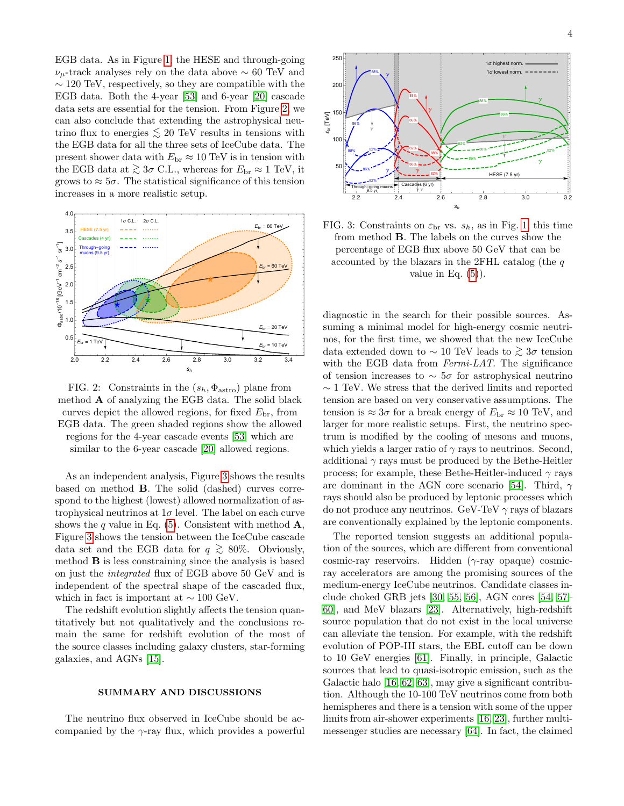EGB data. As in Figure [1,](#page-2-0) the HESE and through-going  $\nu_\mu$ -track analyses rely on the data above  $\sim 60$  TeV and ∼ 120 TeV, respectively, so they are compatible with the EGB data. Both the 4-year [\[53\]](#page-5-13) and 6-year [\[20\]](#page-4-14) cascade data sets are essential for the tension. From Figure [2,](#page-3-0) we can also conclude that extending the astrophysical neutrino flux to energies  $\lesssim 20$  TeV results in tensions with the EGB data for all the three sets of IceCube data. The present shower data with  $E_{\text{br}} \approx 10 \text{ TeV}$  is in tension with the EGB data at  $\gtrsim 3\sigma$  C.L., whereas for  $E_{\rm br} \approx 1$  TeV, it grows to  $\approx 5\sigma$ . The statistical significance of this tension increases in a more realistic setup.

<span id="page-3-0"></span>

FIG. 2: Constraints in the  $(s_h, \Phi_{astro})$  plane from method  $\bf{A}$  of analyzing the EGB data. The solid black curves depict the allowed regions, for fixed  $E_{\rm br}$ , from EGB data. The green shaded regions show the allowed regions for the 4-year cascade events [\[53\]](#page-5-13) which are similar to the 6-year cascade [\[20\]](#page-4-14) allowed regions.

As an independent analysis, Figure [3](#page-3-1) shows the results based on method B. The solid (dashed) curves correspond to the highest (lowest) allowed normalization of astrophysical neutrinos at  $1\sigma$  level. The label on each curve shows the q value in Eq. [\(5\)](#page-2-2). Consistent with method  $\mathbf{A}$ , Figure [3](#page-3-1) shows the tension between the IceCube cascade data set and the EGB data for  $q \ge 80\%$ . Obviously, method B is less constraining since the analysis is based on just the integrated flux of EGB above 50 GeV and is independent of the spectral shape of the cascaded flux, which in fact is important at  $\sim 100 \text{ GeV}$ .

The redshift evolution slightly affects the tension quantitatively but not qualitatively and the conclusions remain the same for redshift evolution of the most of the source classes including galaxy clusters, star-forming galaxies, and AGNs [\[15\]](#page-4-11).

#### SUMMARY AND DISCUSSIONS

The neutrino flux observed in IceCube should be accompanied by the  $\gamma$ -ray flux, which provides a powerful

<span id="page-3-1"></span>

FIG. 3: Constraints on  $\varepsilon_{\rm br}$  vs.  $s_h$ , as in Fig. [1,](#page-2-0) this time from method B. The labels on the curves show the percentage of EGB flux above 50 GeV that can be accounted by the blazars in the 2FHL catalog (the  $q$ ) value in Eq.  $(5)$ ).

diagnostic in the search for their possible sources. Assuming a minimal model for high-energy cosmic neutrinos, for the first time, we showed that the new IceCube data extended down to  $\sim 10$  TeV leads to  $\gtrsim 3\sigma$  tension with the EGB data from Fermi-LAT. The significance of tension increases to  $\sim 5\sigma$  for astrophysical neutrino  $\sim$  1 TeV. We stress that the derived limits and reported tension are based on very conservative assumptions. The tension is  $\approx 3\sigma$  for a break energy of  $E_{\rm br} \approx 10$  TeV, and larger for more realistic setups. First, the neutrino spectrum is modified by the cooling of mesons and muons, which yields a larger ratio of  $\gamma$  rays to neutrinos. Second, additional  $\gamma$  rays must be produced by the Bethe-Heitler process; for example, these Bethe-Heitler-induced  $\gamma$  rays are dominant in the AGN core scenario [\[54\]](#page-5-14). Third,  $\gamma$ rays should also be produced by leptonic processes which do not produce any neutrinos. GeV-TeV  $\gamma$  rays of blazars are conventionally explained by the leptonic components.

The reported tension suggests an additional population of the sources, which are different from conventional cosmic-ray reservoirs. Hidden (γ-ray opaque) cosmicray accelerators are among the promising sources of the medium-energy IceCube neutrinos. Candidate classes include choked GRB jets [\[30,](#page-4-22) [55,](#page-5-15) [56\]](#page-5-16), AGN cores [\[54,](#page-5-14) [57–](#page-5-17) [60\]](#page-5-18), and MeV blazars [\[23\]](#page-4-18). Alternatively, high-redshift source population that do not exist in the local universe can alleviate the tension. For example, with the redshift evolution of POP-III stars, the EBL cutoff can be down to 10 GeV energies [\[61\]](#page-5-19). Finally, in principle, Galactic sources that lead to quasi-isotropic emission, such as the Galactic halo [\[16,](#page-4-12) [62,](#page-5-20) [63\]](#page-5-21), may give a significant contribution. Although the 10-100 TeV neutrinos come from both hemispheres and there is a tension with some of the upper limits from air-shower experiments [\[16,](#page-4-12) [23\]](#page-4-18), further multimessenger studies are necessary [\[64\]](#page-5-22). In fact, the claimed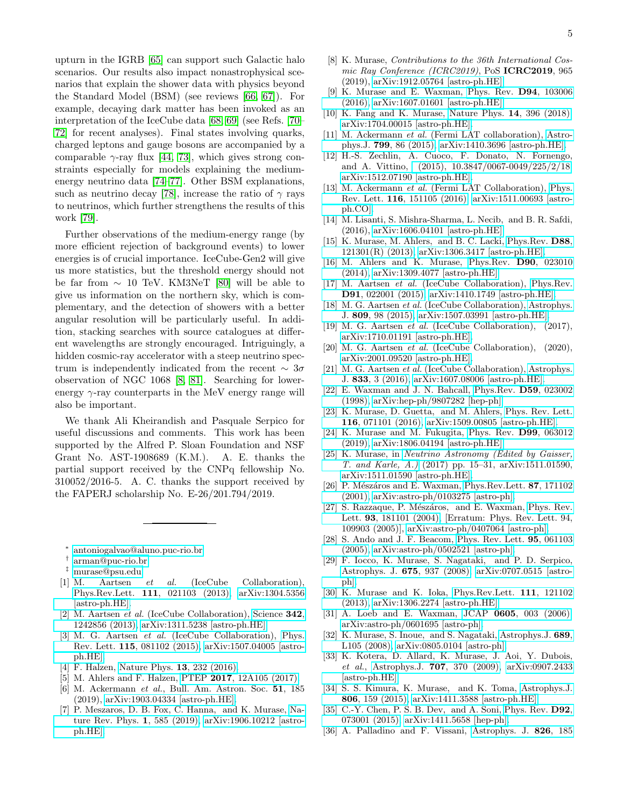upturn in the IGRB [\[65\]](#page-5-23) can support such Galactic halo scenarios. Our results also impact nonastrophysical scenarios that explain the shower data with physics beyond the Standard Model (BSM) (see reviews [\[66,](#page-5-24) [67\]](#page-5-25)). For example, decaying dark matter has been invoked as an interpretation of the IceCube data [\[68,](#page-5-26) [69\]](#page-5-27) (see Refs. [\[70–](#page-5-28) [72\]](#page-5-29) for recent analyses). Final states involving quarks, charged leptons and gauge bosons are accompanied by a comparable  $\gamma$ -ray flux [\[44,](#page-5-4) [73\]](#page-5-30), which gives strong constraints especially for models explaining the mediumenergy neutrino data [\[74–](#page-5-31)[77\]](#page-5-32). Other BSM explanations, such as neutrino decay [\[78\]](#page-5-33), increase the ratio of  $\gamma$  rays to neutrinos, which further strengthens the results of this work [\[79\]](#page-5-34).

Further observations of the medium-energy range (by more efficient rejection of background events) to lower energies is of crucial importance. IceCube-Gen2 will give us more statistics, but the threshold energy should not be far from ∼ 10 TeV. KM3NeT [\[80\]](#page-5-35) will be able to give us information on the northern sky, which is complementary, and the detection of showers with a better angular resolution will be particularly useful. In addition, stacking searches with source catalogues at different wavelengths are strongly encouraged. Intriguingly, a hidden cosmic-ray accelerator with a steep neutrino spectrum is independently indicated from the recent  $\sim 3\sigma$ observation of NGC 1068 [\[8,](#page-4-6) [81\]](#page-5-36). Searching for lowerenergy  $\gamma$ -ray counterparts in the MeV energy range will also be important.

We thank Ali Kheirandish and Pasquale Serpico for useful discussions and comments. This work has been supported by the Alfred P. Sloan Foundation and NSF Grant No. AST-1908689 (K.M.). A. E. thanks the partial support received by the CNPq fellowship No. 310052/2016-5. A. C. thanks the support received by the FAPERJ scholarship No. E-26/201.794/2019.

- <span id="page-4-0"></span>∗ [antoniogalvao@aluno.puc-rio.br](mailto:antoniogalvao@aluno.puc-rio.br)
- <span id="page-4-1"></span>† [arman@puc-rio.br](mailto:arman@puc-rio.br)
- <span id="page-4-2"></span>‡ [murase@psu.edu](mailto:murase@psu.edu)
- <span id="page-4-3"></span>[1] M. Aartsen et al. (IceCube Collaboration), Phys.Rev.Lett. 111[, 021103 \(2013\),](http://dx.doi.org/10.1103/PhysRevLett.111.021103) [arXiv:1304.5356](http://arxiv.org/abs/1304.5356) [\[astro-ph.HE\].](http://arxiv.org/abs/1304.5356)
- [2] M. Aartsen et al. (IceCube Collaboration), [Science](http://dx.doi.org/10.1126/science.1242856) 342, [1242856 \(2013\),](http://dx.doi.org/10.1126/science.1242856) [arXiv:1311.5238 \[astro-ph.HE\].](http://arxiv.org/abs/1311.5238)
- [3] M. G. Aartsen *et al.* (IceCube Collaboration), [Phys.](http://dx.doi.org/10.1103/PhysRevLett.115.081102) Rev. Lett. 115[, 081102 \(2015\),](http://dx.doi.org/10.1103/PhysRevLett.115.081102) [arXiv:1507.04005 \[astro](http://arxiv.org/abs/1507.04005)[ph.HE\].](http://arxiv.org/abs/1507.04005)
- <span id="page-4-4"></span>[4] F. Halzen, [Nature Phys.](http://dx.doi.org/10.1038/nphys3816) **13**, 232 (2016).
- <span id="page-4-5"></span>[5] M. Ahlers and F. Halzen, PTEP 2017[, 12A105 \(2017\).](http://dx.doi.org/10.1093/ptep/ptx021)
- [6] M. Ackermann et al., Bull. Am. Astron. Soc. 51, 185 (2019), [arXiv:1903.04334 \[astro-ph.HE\].](http://arxiv.org/abs/1903.04334)
- [7] P. Meszaros, D. B. Fox, C. Hanna, and K. Murase, [Na](http://dx.doi.org/ 10.1038/s42254-019-0101-z)[ture Rev. Phys.](http://dx.doi.org/ 10.1038/s42254-019-0101-z) 1, 585 (2019), [arXiv:1906.10212 \[astro](http://arxiv.org/abs/1906.10212)[ph.HE\].](http://arxiv.org/abs/1906.10212)
- <span id="page-4-6"></span>[8] K. Murase, Contributions to the 36th International Cosmic Ray Conference (ICRC2019), PoS ICRC2019, 965 (2019), [arXiv:1912.05764 \[astro-ph.HE\].](http://arxiv.org/abs/1912.05764)
- <span id="page-4-7"></span>[9] K. Murase and E. Waxman, [Phys. Rev.](http://dx.doi.org/10.1103/PhysRevD.94.103006) D94, 103006 [\(2016\),](http://dx.doi.org/10.1103/PhysRevD.94.103006) [arXiv:1607.01601 \[astro-ph.HE\].](http://arxiv.org/abs/1607.01601)
- <span id="page-4-8"></span>[10] K. Fang and K. Murase, [Nature Phys.](http://dx.doi.org/10.1038/s41567-017-0025-4) 14, 396 (2018), [arXiv:1704.00015 \[astro-ph.HE\].](http://arxiv.org/abs/1704.00015)
- <span id="page-4-9"></span>[11] M. Ackermann et al. (Fermi LAT collaboration), [Astro](http://dx.doi.org/10.1088/0004-637X/799/1/86)phys.J. 799[, 86 \(2015\),](http://dx.doi.org/10.1088/0004-637X/799/1/86) [arXiv:1410.3696 \[astro-ph.HE\].](http://arxiv.org/abs/1410.3696)
- [12] H.-S. Zechlin, A. Cuoco, F. Donato, N. Fornengo, and A. Vittino, [\(2015\), 10.3847/0067-0049/225/2/18,](http://dx.doi.org/ 10.3847/0067-0049/225/2/18) [arXiv:1512.07190 \[astro-ph.HE\].](http://arxiv.org/abs/1512.07190)
- <span id="page-4-26"></span>[13] M. Ackermann *et al.* (Fermi LAT Collaboration), [Phys.](http://dx.doi.org/10.1103/PhysRevLett.116.151105) Rev. Lett. 116[, 151105 \(2016\),](http://dx.doi.org/10.1103/PhysRevLett.116.151105) [arXiv:1511.00693 \[astro](http://arxiv.org/abs/1511.00693)[ph.CO\].](http://arxiv.org/abs/1511.00693)
- <span id="page-4-10"></span>[14] M. Lisanti, S. Mishra-Sharma, L. Necib, and B. R. Safdi, (2016), [arXiv:1606.04101 \[astro-ph.HE\].](http://arxiv.org/abs/1606.04101)
- <span id="page-4-11"></span>[15] K. Murase, M. Ahlers, and B. C. Lacki, [Phys.Rev.](http://dx.doi.org/10.1103/PhysRevD.88.121301) D88, [121301\(R\) \(2013\),](http://dx.doi.org/10.1103/PhysRevD.88.121301) [arXiv:1306.3417 \[astro-ph.HE\].](http://arxiv.org/abs/1306.3417)
- <span id="page-4-12"></span>[16] M. Ahlers and K. Murase, [Phys.Rev.](http://dx.doi.org/10.1103/PhysRevD.90.023010) D90, 023010 [\(2014\),](http://dx.doi.org/10.1103/PhysRevD.90.023010) [arXiv:1309.4077 \[astro-ph.HE\].](http://arxiv.org/abs/1309.4077)
- <span id="page-4-13"></span>[17] M. Aartsen et al. (IceCube Collaboration), [Phys.Rev.](http://dx.doi.org/10.1103/PhysRevD.91.022001) D91[, 022001 \(2015\),](http://dx.doi.org/10.1103/PhysRevD.91.022001) [arXiv:1410.1749 \[astro-ph.HE\].](http://arxiv.org/abs/1410.1749)
- [18] M. G. Aartsen *et al.* (IceCube Collaboration), [Astrophys.](http://dx.doi.org/10.1088/0004-637X/809/1/98) J. 809[, 98 \(2015\),](http://dx.doi.org/10.1088/0004-637X/809/1/98) [arXiv:1507.03991 \[astro-ph.HE\].](http://arxiv.org/abs/1507.03991)
- <span id="page-4-15"></span>[19] M. G. Aartsen et al. (IceCube Collaboration), (2017), [arXiv:1710.01191 \[astro-ph.HE\].](http://arxiv.org/abs/1710.01191)
- <span id="page-4-14"></span>[20] M. G. Aartsen et al. (IceCube Collaboration), (2020), [arXiv:2001.09520 \[astro-ph.HE\].](http://arxiv.org/abs/2001.09520)
- <span id="page-4-16"></span>[21] M. G. Aartsen et al. (IceCube Collaboration), [Astrophys.](http://dx.doi.org/10.3847/0004-637X/833/1/3) J. 833[, 3 \(2016\),](http://dx.doi.org/10.3847/0004-637X/833/1/3) [arXiv:1607.08006 \[astro-ph.HE\].](http://arxiv.org/abs/1607.08006)
- <span id="page-4-17"></span>[22] E. Waxman and J. N. Bahcall, [Phys.Rev.](http://dx.doi.org/10.1103/PhysRevD.59.023002) D59, 023002 [\(1998\),](http://dx.doi.org/10.1103/PhysRevD.59.023002) [arXiv:hep-ph/9807282 \[hep-ph\].](http://arxiv.org/abs/hep-ph/9807282)
- <span id="page-4-18"></span>[23] K. Murase, D. Guetta, and M. Ahlers, [Phys. Rev. Lett.](http://dx.doi.org/10.1103/PhysRevLett.116.071101) 116[, 071101 \(2016\),](http://dx.doi.org/10.1103/PhysRevLett.116.071101) [arXiv:1509.00805 \[astro-ph.HE\].](http://arxiv.org/abs/1509.00805)
- <span id="page-4-19"></span>[24] K. Murase and M. Fukugita, [Phys. Rev.](http://dx.doi.org/10.1103/PhysRevD.99.063012) D99, 063012 [\(2019\),](http://dx.doi.org/10.1103/PhysRevD.99.063012) [arXiv:1806.04194 \[astro-ph.HE\].](http://arxiv.org/abs/1806.04194)
- <span id="page-4-20"></span>[25] K. Murase, in [Neutrino Astronomy \(Edited by Gaisser,](http://dx.doi.org/10.1142/9789814759410_0002) [T. and Karle, A.\)](http://dx.doi.org/10.1142/9789814759410_0002) (2017) pp. 15–31, arXiv:1511.01590, [arXiv:1511.01590 \[astro-ph.HE\].](http://arxiv.org/abs/1511.01590)
- <span id="page-4-21"></span>[26] P. Mészáros and E. Waxman, [Phys.Rev.Lett.](http://dx.doi.org/10.1103/PhysRevLett.87.171102)  $87$ , 171102 [\(2001\),](http://dx.doi.org/10.1103/PhysRevLett.87.171102) [arXiv:astro-ph/0103275 \[astro-ph\].](http://arxiv.org/abs/astro-ph/0103275)
- [27] S. Razzaque, P. Mészáros, and E. Waxman, [Phys. Rev.](http://dx.doi.org/10.1103/PhysRevLett.93.181101, 10.1103/PhysRevLett.94.109903) Lett. 93[, 181101 \(2004\),](http://dx.doi.org/10.1103/PhysRevLett.93.181101, 10.1103/PhysRevLett.94.109903) [Erratum: Phys. Rev. Lett. 94, 109903 (2005)], [arXiv:astro-ph/0407064 \[astro-ph\].](http://arxiv.org/abs/astro-ph/0407064)
- [28] S. Ando and J. F. Beacom, [Phys. Rev. Lett.](http://dx.doi.org/10.1103/PhysRevLett.95.061103) 95, 061103 [\(2005\),](http://dx.doi.org/10.1103/PhysRevLett.95.061103) [arXiv:astro-ph/0502521 \[astro-ph\].](http://arxiv.org/abs/astro-ph/0502521)
- [29] F. Iocco, K. Murase, S. Nagataki, and P. D. Serpico, [Astrophys. J.](http://dx.doi.org/10.1086/526450) 675, 937 (2008), [arXiv:0707.0515 \[astro](http://arxiv.org/abs/0707.0515)[ph\].](http://arxiv.org/abs/0707.0515)
- <span id="page-4-22"></span>[30] K. Murase and K. Ioka, [Phys.Rev.Lett.](http://dx.doi.org/10.1103/PhysRevLett.111.121102) 111, 121102 [\(2013\),](http://dx.doi.org/10.1103/PhysRevLett.111.121102) [arXiv:1306.2274 \[astro-ph.HE\].](http://arxiv.org/abs/1306.2274)
- <span id="page-4-23"></span>[31] A. Loeb and E. Waxman, JCAP 0605[, 003 \(2006\),](http://dx.doi.org/10.1088/1475-7516/2006/05/003) [arXiv:astro-ph/0601695 \[astro-ph\].](http://arxiv.org/abs/astro-ph/0601695)
- [32] K. Murase, S. Inoue, and S. Nagataki, [Astrophys.J.](http://dx.doi.org/10.1086/595882) 689, [L105 \(2008\),](http://dx.doi.org/10.1086/595882) [arXiv:0805.0104 \[astro-ph\].](http://arxiv.org/abs/0805.0104)
- <span id="page-4-24"></span>[33] K. Kotera, D. Allard, K. Murase, J. Aoi, Y. Dubois, et al., Astrophys.J. 707[, 370 \(2009\),](http://dx.doi.org/10.1088/0004-637X/707/1/370) [arXiv:0907.2433](http://arxiv.org/abs/0907.2433) [\[astro-ph.HE\].](http://arxiv.org/abs/0907.2433)
- <span id="page-4-25"></span>[34] S. S. Kimura, K. Murase, and K. Toma, [Astrophys.J.](http://dx.doi.org/10.1088/0004-637X/806/2/159) 806[, 159 \(2015\),](http://dx.doi.org/10.1088/0004-637X/806/2/159) [arXiv:1411.3588 \[astro-ph.HE\].](http://arxiv.org/abs/1411.3588)
- [35] C.-Y. Chen, P. S. B. Dev, and A. Soni, [Phys. Rev.](http://dx.doi.org/10.1103/PhysRevD.92.073001) **D92**, [073001 \(2015\),](http://dx.doi.org/10.1103/PhysRevD.92.073001) [arXiv:1411.5658 \[hep-ph\].](http://arxiv.org/abs/1411.5658)
- [36] A. Palladino and F. Vissani, [Astrophys. J.](http://dx.doi.org/10.3847/0004-637X/826/2/185) 826, 185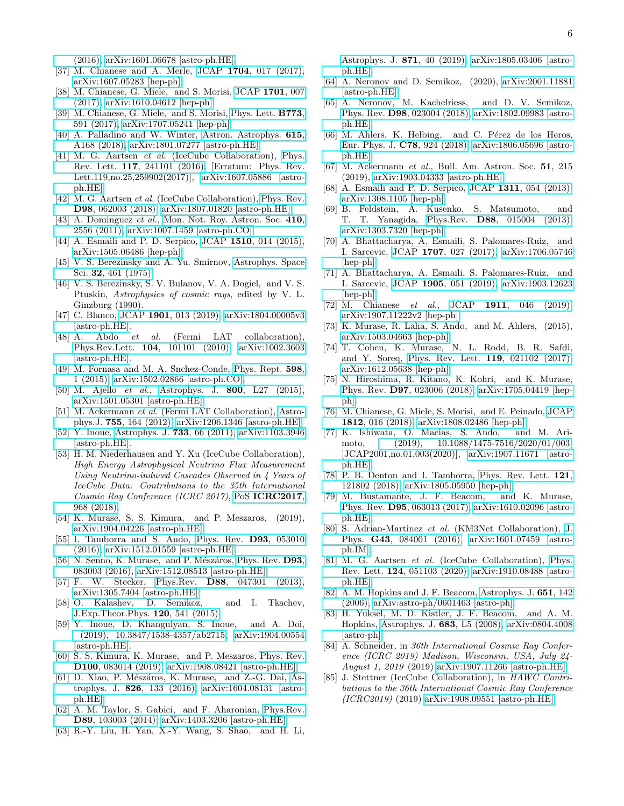[\(2016\),](http://dx.doi.org/10.3847/0004-637X/826/2/185) [arXiv:1601.06678 \[astro-ph.HE\].](http://arxiv.org/abs/1601.06678)

- [37] M. Chianese and A. Merle, JCAP 1704[, 017 \(2017\),](http://dx.doi.org/10.1088/1475-7516/2017/04/017) [arXiv:1607.05283 \[hep-ph\].](http://arxiv.org/abs/1607.05283)
- [38] M. Chianese, G. Miele, and S. Morisi, [JCAP](http://dx.doi.org/10.1088/1475-7516/2017/01/007) 1701, 007 [\(2017\),](http://dx.doi.org/10.1088/1475-7516/2017/01/007) [arXiv:1610.04612 \[hep-ph\].](http://arxiv.org/abs/1610.04612)
- [39] M. Chianese, G. Miele, and S. Morisi, [Phys. Lett.](http://dx.doi.org/10.1016/j.physletb.2017.09.016) B773, [591 \(2017\),](http://dx.doi.org/10.1016/j.physletb.2017.09.016) [arXiv:1707.05241 \[hep-ph\].](http://arxiv.org/abs/1707.05241)
- <span id="page-5-0"></span>[40] A. Palladino and W. Winter, [Astron. Astrophys.](http://dx.doi.org/10.3204/PUBDB-2018-01376, 10.1051/0004-6361/201832731) **615**, [A168 \(2018\),](http://dx.doi.org/10.3204/PUBDB-2018-01376, 10.1051/0004-6361/201832731) [arXiv:1801.07277 \[astro-ph.HE\].](http://arxiv.org/abs/1801.07277)
- <span id="page-5-1"></span>[41] M. G. Aartsen et al. (IceCube Collaboration), [Phys.](http://dx.doi.org/10.1103/PhysRevLett.117.241101, 10.1103/PhysRevLett.119.259902) Rev. Lett. 117[, 241101 \(2016\),](http://dx.doi.org/10.1103/PhysRevLett.117.241101, 10.1103/PhysRevLett.119.259902) [Erratum: Phys. Rev. Lett.119,no.25,259902(2017)], [arXiv:1607.05886 \[astro](http://arxiv.org/abs/1607.05886)[ph.HE\].](http://arxiv.org/abs/1607.05886)
- <span id="page-5-2"></span>[42] M. G. Aartsen *et al.* (IceCube Collaboration), [Phys. Rev.](http://dx.doi.org/10.1103/PhysRevD.98.062003) D98[, 062003 \(2018\),](http://dx.doi.org/10.1103/PhysRevD.98.062003) [arXiv:1807.01820 \[astro-ph.HE\].](http://arxiv.org/abs/1807.01820)
- <span id="page-5-3"></span>[43] A. Dominguez et al., [Mon. Not. Roy. Astron. Soc.](http://dx.doi.org/ 10.1111/j.1365-2966.2010.17631.x) 410, [2556 \(2011\),](http://dx.doi.org/ 10.1111/j.1365-2966.2010.17631.x) [arXiv:1007.1459 \[astro-ph.CO\].](http://arxiv.org/abs/1007.1459)
- <span id="page-5-4"></span>[44] A. Esmaili and P. D. Serpico, JCAP 1510[, 014 \(2015\),](http://dx.doi.org/10.1088/1475-7516/2015/10/014) [arXiv:1505.06486 \[hep-ph\].](http://arxiv.org/abs/1505.06486)
- <span id="page-5-5"></span>[45] V. S. Berezinsky and A. Yu. Smirnov, [Astrophys. Space](http://dx.doi.org/10.1007/BF00643157) Sci. 32[, 461 \(1975\).](http://dx.doi.org/10.1007/BF00643157)
- <span id="page-5-6"></span>[46] V. S. Berezinsky, S. V. Bulanov, V. A. Dogiel, and V. S. Ptuskin, Astrophysics of cosmic rays, edited by V. L. Ginzburg (1990).
- <span id="page-5-7"></span>[47] C. Blanco, JCAP 1901[, 013 \(2019\),](http://dx.doi.org/10.1088/1475-7516/2019/01/013) [arXiv:1804.00005v3](http://arxiv.org/abs/1804.00005v3) [\[astro-ph.HE\].](http://arxiv.org/abs/1804.00005v3)
- <span id="page-5-8"></span>[48] A. Abdo et al. (Fermi LAT collaboration), Phys.Rev.Lett. 104[, 101101 \(2010\),](http://dx.doi.org/10.1103/PhysRevLett.104.101101) [arXiv:1002.3603](http://arxiv.org/abs/1002.3603) [\[astro-ph.HE\].](http://arxiv.org/abs/1002.3603)
- <span id="page-5-9"></span>[49] M. Fornasa and M. A. Snchez-Conde, [Phys. Rept.](http://dx.doi.org/10.1016/j.physrep.2015.09.002) 598, [1 \(2015\),](http://dx.doi.org/10.1016/j.physrep.2015.09.002) [arXiv:1502.02866 \[astro-ph.CO\].](http://arxiv.org/abs/1502.02866)
- <span id="page-5-10"></span>[50] M. Ajello et al., Astrophys. J. 800[, L27 \(2015\),](http://dx.doi.org/10.1088/2041-8205/800/2/L27) [arXiv:1501.05301 \[astro-ph.HE\].](http://arxiv.org/abs/1501.05301)
- <span id="page-5-11"></span>[51] M. Ackermann et al. (Fermi LAT Collaboration), [Astro](http://dx.doi.org/10.1088/0004-637X/755/2/164)phys.J. 755[, 164 \(2012\),](http://dx.doi.org/10.1088/0004-637X/755/2/164) [arXiv:1206.1346 \[astro-ph.HE\].](http://arxiv.org/abs/1206.1346)
- <span id="page-5-12"></span>[52] Y. Inoue, [Astrophys. J.](http://dx.doi.org/10.1088/0004-637X/733/1/66) 733, 66 (2011), [arXiv:1103.3946](http://arxiv.org/abs/1103.3946) [\[astro-ph.HE\].](http://arxiv.org/abs/1103.3946)
- <span id="page-5-13"></span>[53] H. M. Niederhausen and Y. Xu (IceCube Collaboration), High Energy Astrophysical Neutrino Flux Measurement Using Neutrino-induced Cascades Observed in 4 Years of IceCube Data: Contributions to the 35th International Cosmic Ray Conference (ICRC 2017), PoS [ICRC2017](http://dx.doi.org/10.22323/1.301.0968), [968 \(2018\).](http://dx.doi.org/10.22323/1.301.0968)
- <span id="page-5-14"></span>[54] K. Murase, S. S. Kimura, and P. Meszaros, (2019), [arXiv:1904.04226 \[astro-ph.HE\].](http://arxiv.org/abs/1904.04226)
- <span id="page-5-15"></span>[55] I. Tamborra and S. Ando, [Phys. Rev.](http://dx.doi.org/10.1103/PhysRevD.93.053010) D93, 053010 [\(2016\),](http://dx.doi.org/10.1103/PhysRevD.93.053010) [arXiv:1512.01559 \[astro-ph.HE\].](http://arxiv.org/abs/1512.01559)
- <span id="page-5-16"></span>[56] N. Senno, K. Murase, and P. Mészáros, [Phys. Rev.](http://dx.doi.org/10.1103/PhysRevD.93.083003) D93, [083003 \(2016\),](http://dx.doi.org/10.1103/PhysRevD.93.083003) [arXiv:1512.08513 \[astro-ph.HE\].](http://arxiv.org/abs/1512.08513)
- <span id="page-5-17"></span>[57] F. W. Stecker, Phys.Rev. D88[, 047301 \(2013\),](http://dx.doi.org/10.1103/PhysRevD.88.047301) [arXiv:1305.7404 \[astro-ph.HE\].](http://arxiv.org/abs/1305.7404)
- [58] O. Kalashev, D. Semikoz, and I. Tkachev, [J.Exp.Theor.Phys.](http://dx.doi.org/10.1134/S106377611503022X) 120, 541 (2015).
- [59] Y. Inoue, D. Khangulyan, S. Inoue, and A. Doi, [\(2019\), 10.3847/1538-4357/ab2715,](http://dx.doi.org/ 10.3847/1538-4357/ab2715) [arXiv:1904.00554](http://arxiv.org/abs/1904.00554) [\[astro-ph.HE\].](http://arxiv.org/abs/1904.00554)
- <span id="page-5-18"></span>[60] S. S. Kimura, K. Murase, and P. Meszaros, [Phys. Rev.](http://dx.doi.org/10.1103/PhysRevD.100.083014) D100[, 083014 \(2019\),](http://dx.doi.org/10.1103/PhysRevD.100.083014) [arXiv:1908.08421 \[astro-ph.HE\].](http://arxiv.org/abs/1908.08421)
- <span id="page-5-19"></span>[61] D. Xiao, P. Mészáros, K. Murase, and Z.-G. Dai, [As](http://dx.doi.org/ 10.3847/0004-637X/826/2/133)trophys. J. 826[, 133 \(2016\),](http://dx.doi.org/ 10.3847/0004-637X/826/2/133) [arXiv:1604.08131 \[astro](http://arxiv.org/abs/1604.08131)[ph.HE\].](http://arxiv.org/abs/1604.08131)
- <span id="page-5-20"></span>[62] A. M. Taylor, S. Gabici, and F. Aharonian, [Phys.Rev.](http://dx.doi.org/10.1103/PhysRevD.89.103003) D89[, 103003 \(2014\),](http://dx.doi.org/10.1103/PhysRevD.89.103003) [arXiv:1403.3206 \[astro-ph.HE\].](http://arxiv.org/abs/1403.3206)
- <span id="page-5-21"></span>[63] R.-Y. Liu, H. Yan, X.-Y. Wang, S. Shao, and H. Li,

[Astrophys. J.](http://dx.doi.org/ 10.3847/1538-4357/aaf567) 871, 40 (2019), [arXiv:1805.03406 \[astro](http://arxiv.org/abs/1805.03406)[ph.HE\].](http://arxiv.org/abs/1805.03406)

- <span id="page-5-22"></span>[64] A. Neronov and D. Semikoz, (2020), [arXiv:2001.11881](http://arxiv.org/abs/2001.11881) [\[astro-ph.HE\].](http://arxiv.org/abs/2001.11881)
- <span id="page-5-23"></span>[65] A. Neronov, M. Kachelriess, and D. V. Semikoz, Phys. Rev. D98[, 023004 \(2018\),](http://dx.doi.org/10.1103/PhysRevD.98.023004) [arXiv:1802.09983 \[astro](http://arxiv.org/abs/1802.09983)[ph.HE\].](http://arxiv.org/abs/1802.09983)
- <span id="page-5-24"></span>[66] M. Ahlers, K. Helbing, and C. Pérez de los Heros, [Eur. Phys. J.](http://dx.doi.org/10.1140/epjc/s10052-018-6369-9) C78, 924 (2018), [arXiv:1806.05696 \[astro](http://arxiv.org/abs/1806.05696)[ph.HE\].](http://arxiv.org/abs/1806.05696)
- <span id="page-5-25"></span>[67] M. Ackermann et al., Bull. Am. Astron. Soc. 51, 215 (2019), [arXiv:1903.04333 \[astro-ph.HE\].](http://arxiv.org/abs/1903.04333)
- <span id="page-5-26"></span>[68] A. Esmaili and P. D. Serpico, JCAP 1311[, 054 \(2013\),](http://dx.doi.org/10.1088/1475-7516/2013/11/054) [arXiv:1308.1105 \[hep-ph\].](http://arxiv.org/abs/1308.1105)
- <span id="page-5-27"></span>[69] B. Feldstein, A. Kusenko, S. Matsumoto, and T. T. Yanagida, Phys.Rev. D88[, 015004 \(2013\),](http://dx.doi.org/10.1103/PhysRevD.88.015004) [arXiv:1303.7320 \[hep-ph\].](http://arxiv.org/abs/1303.7320)
- <span id="page-5-28"></span>[70] A. Bhattacharya, A. Esmaili, S. Palomares-Ruiz, and I. Sarcevic, JCAP 1707[, 027 \(2017\),](http://dx.doi.org/10.1088/1475-7516/2017/07/027) [arXiv:1706.05746](http://arxiv.org/abs/1706.05746) [\[hep-ph\].](http://arxiv.org/abs/1706.05746)
- [71] A. Bhattacharya, A. Esmaili, S. Palomares-Ruiz, and I. Sarcevic, JCAP 1905[, 051 \(2019\),](http://dx.doi.org/10.1088/1475-7516/2019/05/051) [arXiv:1903.12623](http://arxiv.org/abs/1903.12623) [\[hep-ph\].](http://arxiv.org/abs/1903.12623)
- <span id="page-5-29"></span>[72] M. Chianese *et al.*, JCAP **1911**[, 046 \(2019\),](http://dx.doi.org/10.1088/1475-7516/2019/11/046) [arXiv:1907.11222v2 \[hep-ph\].](http://arxiv.org/abs/1907.11222v2)
- <span id="page-5-30"></span>[73] K. Murase, R. Laha, S. Ando, and M. Ahlers, (2015), [arXiv:1503.04663 \[hep-ph\].](http://arxiv.org/abs/1503.04663)
- <span id="page-5-31"></span>[74] T. Cohen, K. Murase, N. L. Rodd, B. R. Safdi, and Y. Soreq, [Phys. Rev. Lett.](http://dx.doi.org/ 10.1103/PhysRevLett.119.021102) 119, 021102 (2017), [arXiv:1612.05638 \[hep-ph\].](http://arxiv.org/abs/1612.05638)
- [75] N. Hiroshima, R. Kitano, K. Kohri, and K. Murase, Phys. Rev. D97[, 023006 \(2018\),](http://dx.doi.org/ 10.1103/PhysRevD.97.023006) [arXiv:1705.04419 \[hep](http://arxiv.org/abs/1705.04419)[ph\].](http://arxiv.org/abs/1705.04419)
- [76] M. Chianese, G. Miele, S. Morisi, and E. Peinado, [JCAP](http://dx.doi.org/ 10.1088/1475-7516/2018/12/016) 1812[, 016 \(2018\),](http://dx.doi.org/ 10.1088/1475-7516/2018/12/016) [arXiv:1808.02486 \[hep-ph\].](http://arxiv.org/abs/1808.02486)
- <span id="page-5-32"></span>[77] K. Ishiwata, O. Macias, S. Ando, and M. Ari-moto, [\(2019\), 10.1088/1475-7516/2020/01/003,](http://dx.doi.org/ 10.1088/1475-7516/2020/01/003) [JCAP2001,no.01,003(2020)], [arXiv:1907.11671 \[astro](http://arxiv.org/abs/1907.11671)[ph.HE\].](http://arxiv.org/abs/1907.11671)
- <span id="page-5-33"></span>[78] P. B. Denton and I. Tamborra, [Phys. Rev. Lett.](http://dx.doi.org/10.1103/PhysRevLett.121.121802) 121, [121802 \(2018\),](http://dx.doi.org/10.1103/PhysRevLett.121.121802) [arXiv:1805.05950 \[hep-ph\].](http://arxiv.org/abs/1805.05950)
- <span id="page-5-34"></span>[79] M. Bustamante, J. F. Beacom, and K. Murase, Phys. Rev. D95[, 063013 \(2017\),](http://dx.doi.org/10.1103/PhysRevD.95.063013) [arXiv:1610.02096 \[astro](http://arxiv.org/abs/1610.02096)[ph.HE\].](http://arxiv.org/abs/1610.02096)
- <span id="page-5-35"></span>[80] S. Adrian-Martinez et al. (KM3Net Collaboration), [J.](http://dx.doi.org/10.1088/0954-3899/43/8/084001) Phys. G43[, 084001 \(2016\),](http://dx.doi.org/10.1088/0954-3899/43/8/084001) [arXiv:1601.07459 \[astro](http://arxiv.org/abs/1601.07459)[ph.IM\].](http://arxiv.org/abs/1601.07459)
- <span id="page-5-36"></span>[81] M. G. Aartsen et al. (IceCube Collaboration), [Phys.](http://dx.doi.org/10.1103/PhysRevLett.124.051103) Rev. Lett. 124[, 051103 \(2020\),](http://dx.doi.org/10.1103/PhysRevLett.124.051103) [arXiv:1910.08488 \[astro](http://arxiv.org/abs/1910.08488)[ph.HE\].](http://arxiv.org/abs/1910.08488)
- <span id="page-5-37"></span>[82] A. M. Hopkins and J. F. Beacom, [Astrophys. J.](http://dx.doi.org/10.1086/506610) 651, 142 [\(2006\),](http://dx.doi.org/10.1086/506610) [arXiv:astro-ph/0601463 \[astro-ph\].](http://arxiv.org/abs/astro-ph/0601463)
- <span id="page-5-38"></span>[83] H. Yuksel, M. D. Kistler, J. F. Beacom, and A. M. Hopkins, [Astrophys. J.](http://dx.doi.org/10.1086/591449) 683, L5 (2008), [arXiv:0804.4008](http://arxiv.org/abs/0804.4008) [\[astro-ph\].](http://arxiv.org/abs/0804.4008)
- <span id="page-5-39"></span>[84] A. Schneider, in 36th International Cosmic Ray Conference (ICRC 2019) Madison, Wisconsin, USA, July 24- August 1, 2019 (2019) [arXiv:1907.11266 \[astro-ph.HE\].](http://arxiv.org/abs/1907.11266)
- <span id="page-5-40"></span>[85] J. Stettner (IceCube Collaboration), in HAWC Contributions to the 36th International Cosmic Ray Conference (ICRC2019) (2019) [arXiv:1908.09551 \[astro-ph.HE\].](http://arxiv.org/abs/1908.09551)